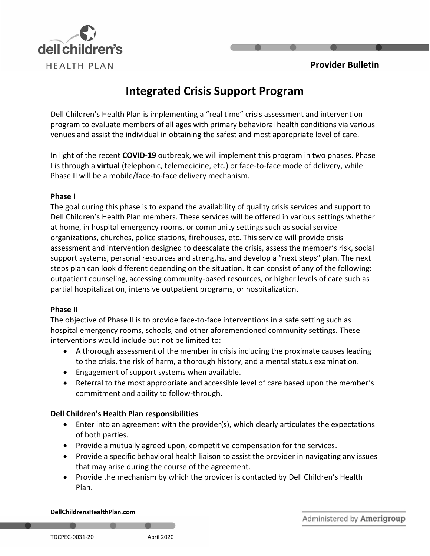



# **Integrated Crisis Support Program**

Dell Children's Health Plan is implementing a "real time" crisis assessment and intervention program to evaluate members of all ages with primary behavioral health conditions via various venues and assist the individual in obtaining the safest and most appropriate level of care.

In light of the recent **COVID-19** outbreak, we will implement this program in two phases. Phase I is through a **virtual** (telephonic, telemedicine, etc.) or face-to-face mode of delivery, while Phase II will be a mobile/face-to-face delivery mechanism.

#### **Phase I**

The goal during this phase is to expand the availability of quality crisis services and support to Dell Children's Health Plan members. These services will be offered in various settings whether at home, in hospital emergency rooms, or community settings such as social service organizations, churches, police stations, firehouses, etc. This service will provide crisis assessment and intervention designed to deescalate the crisis, assess the member's risk, social support systems, personal resources and strengths, and develop a "next steps" plan. The next steps plan can look different depending on the situation. It can consist of any of the following: outpatient counseling, accessing community-based resources, or higher levels of care such as partial hospitalization, intensive outpatient programs, or hospitalization.

## **Phase II**

The objective of Phase II is to provide face-to-face interventions in a safe setting such as hospital emergency rooms, schools, and other aforementioned community settings. These interventions would include but not be limited to:

- A thorough assessment of the member in crisis including the proximate causes leading to the crisis, the risk of harm, a thorough history, and a mental status examination.
- Engagement of support systems when available.
- Referral to the most appropriate and accessible level of care based upon the member's commitment and ability to follow-through.

## **Dell Children's Health Plan responsibilities**

- Enter into an agreement with the provider(s), which clearly articulates the expectations of both parties.
- Provide a mutually agreed upon, competitive compensation for the services.
- Provide a specific behavioral health liaison to assist the provider in navigating any issues that may arise during the course of the agreement.
- Provide the mechanism by which the provider is contacted by Dell Children's Health Plan.

#### **DellChildrensHealthPlan.com**

Administered by Amerigroup